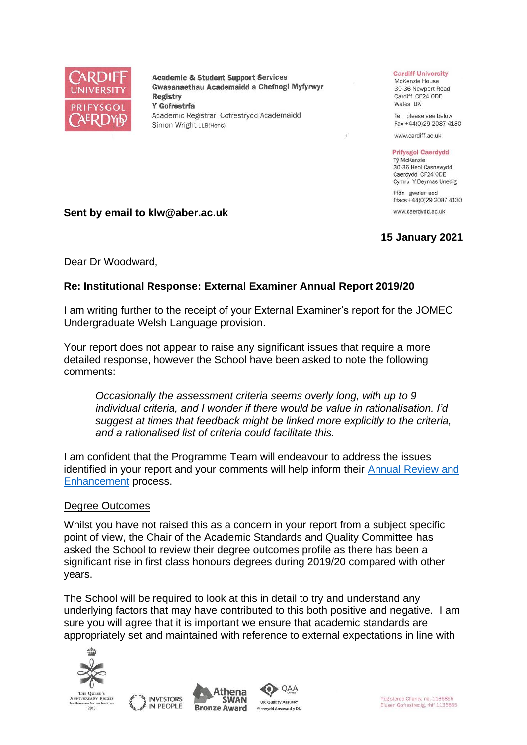

**Academic & Student Support Services** Gwasanaethau Academaidd a Chefnogi Myfyrwyr **Registry** Y Gofrestrfa Academic Registrar Cofrestrydd Academaidd Simon Wright LLB(Hons)

#### **Cardiff University**

McKenzie House 30-36 Newport Road Cardiff CF24 ODE Wales UK

Tel please see below Fax +44(0)29 2087 4130

www.cardiff.ac.uk

## **Prifysgol Caerdydd**

Tỷ McKenzie 30-36 Heol Casnewydd Caerdydd CF24 ODE Cymru Y Deyrnas Unedig

Ffôn gweler isod Ffacs +44(0)29 2087 4130

www.caerdydd.ac.uk

# **15 January 2021**

Dear Dr Woodward,

**Sent by email to klw@aber.ac.uk**

## **Re: Institutional Response: External Examiner Annual Report 2019/20**

I am writing further to the receipt of your External Examiner's report for the JOMEC Undergraduate Welsh Language provision.

Your report does not appear to raise any significant issues that require a more detailed response, however the School have been asked to note the following comments:

*Occasionally the assessment criteria seems overly long, with up to 9 individual criteria, and I wonder if there would be value in rationalisation. I'd suggest at times that feedback might be linked more explicitly to the criteria, and a rationalised list of criteria could facilitate this.*

I am confident that the Programme Team will endeavour to address the issues identified in your report and your comments will help inform their [Annual Review and](https://www.cardiff.ac.uk/public-information/quality-and-standards/monitoring-and-review/annual-review-and-enhancement)  [Enhancement](https://www.cardiff.ac.uk/public-information/quality-and-standards/monitoring-and-review/annual-review-and-enhancement) process.

## Degree Outcomes

Whilst you have not raised this as a concern in your report from a subject specific point of view, the Chair of the Academic Standards and Quality Committee has asked the School to review their degree outcomes profile as there has been a significant rise in first class honours degrees during 2019/20 compared with other years.

The School will be required to look at this in detail to try and understand any underlying factors that may have contributed to this both positive and negative. I am sure you will agree that it is important we ensure that academic standards are appropriately set and maintained with reference to external expectations in line with









Registered Charity, no. 1136855 Elusen Gofrestredig, rhif 1136855